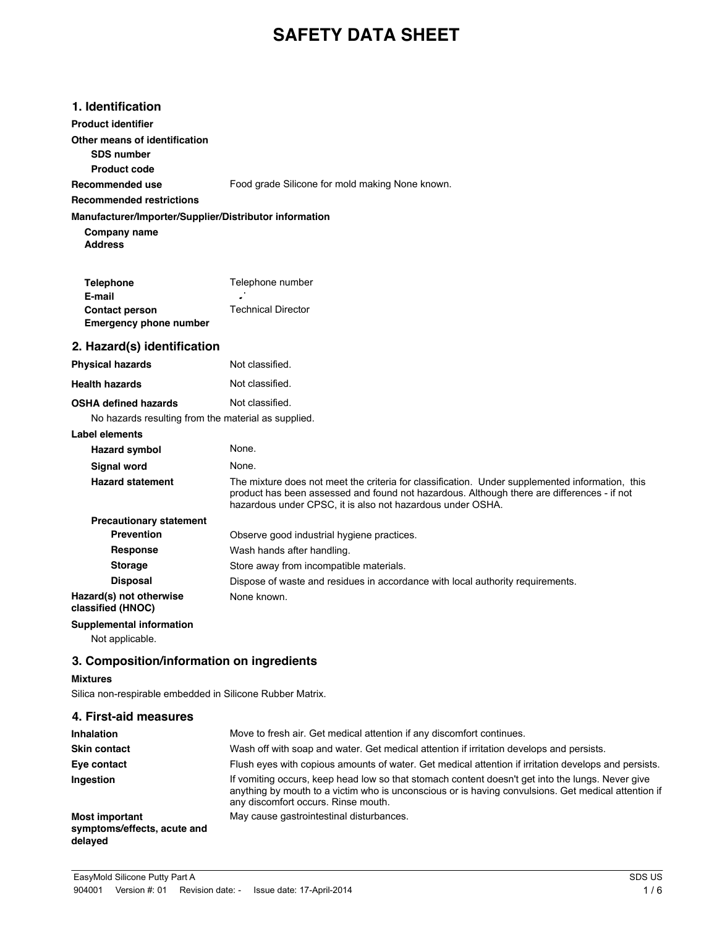# **SAFETY DATA SHEET**

| 1. Identification |
|-------------------|
|-------------------|

**Product identifier**

**Other means of identification**

**SDS number**

**Product code Recommended use**

Food grade Silicone for mold making None known.

#### **Recommended restrictions**

#### **Manufacturer/Importer/Supplier/Distributor information**

**Address Company name**

| <b>Telephone</b>              | Telephone number          |
|-------------------------------|---------------------------|
| E-mail                        | ۰                         |
| <b>Contact person</b>         | <b>Technical Director</b> |
| <b>Emergency phone number</b> |                           |

## **2. Hazard(s) identification**

| <b>Physical hazards</b>     | Not classified. |
|-----------------------------|-----------------|
| <b>Health hazards</b>       | Not classified. |
| <b>OSHA defined hazards</b> | Not classified. |

## No hazards resulting from the material as supplied.

| Label elements                               |                                                                                                                                                                                                                                                             |
|----------------------------------------------|-------------------------------------------------------------------------------------------------------------------------------------------------------------------------------------------------------------------------------------------------------------|
| <b>Hazard symbol</b>                         | None.                                                                                                                                                                                                                                                       |
| Signal word                                  | None.                                                                                                                                                                                                                                                       |
| <b>Hazard statement</b>                      | The mixture does not meet the criteria for classification. Under supplemented information, this<br>product has been assessed and found not hazardous. Although there are differences - if not<br>hazardous under CPSC, it is also not hazardous under OSHA. |
| <b>Precautionary statement</b>               |                                                                                                                                                                                                                                                             |
| <b>Prevention</b>                            | Observe good industrial hygiene practices.                                                                                                                                                                                                                  |
| <b>Response</b>                              | Wash hands after handling.                                                                                                                                                                                                                                  |
| <b>Storage</b>                               | Store away from incompatible materials.                                                                                                                                                                                                                     |
| <b>Disposal</b>                              | Dispose of waste and residues in accordance with local authority requirements.                                                                                                                                                                              |
| Hazard(s) not otherwise<br>classified (HNOC) | None known.                                                                                                                                                                                                                                                 |
| Supplemental information                     |                                                                                                                                                                                                                                                             |

Not applicable.

## **3. Composition/information on ingredients**

## **Mixtures**

Silica non-respirable embedded in Silicone Rubber Matrix.

| 4. First-aid measures                                           |                                                                                                                                                                                                                                                |  |
|-----------------------------------------------------------------|------------------------------------------------------------------------------------------------------------------------------------------------------------------------------------------------------------------------------------------------|--|
| <b>Inhalation</b>                                               | Move to fresh air. Get medical attention if any discomfort continues.                                                                                                                                                                          |  |
| <b>Skin contact</b>                                             | Wash off with soap and water. Get medical attention if irritation develops and persists.                                                                                                                                                       |  |
| Eye contact                                                     | Flush eyes with copious amounts of water. Get medical attention if irritation develops and persists.                                                                                                                                           |  |
| Ingestion                                                       | If vomiting occurs, keep head low so that stomach content doesn't get into the lungs. Never give<br>anything by mouth to a victim who is unconscious or is having convulsions. Get medical attention if<br>any discomfort occurs. Rinse mouth. |  |
| <b>Most important</b><br>symptoms/effects, acute and<br>delayed | May cause gastrointestinal disturbances.                                                                                                                                                                                                       |  |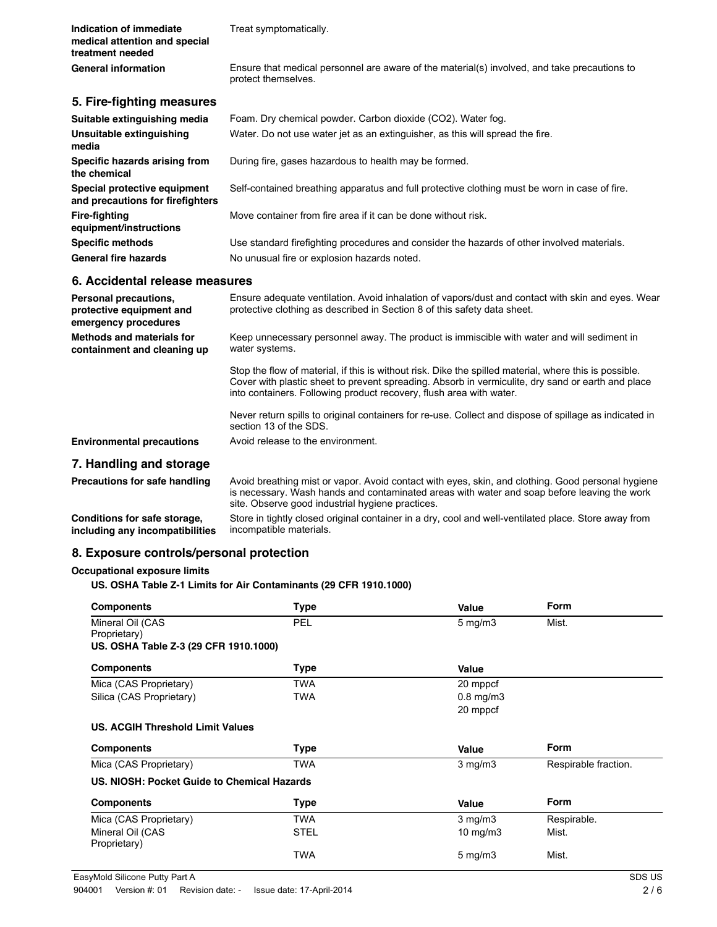| Indication of immediate<br>medical attention and special<br>treatment needed | Treat symptomatically.                                                                                                                                                                                      |
|------------------------------------------------------------------------------|-------------------------------------------------------------------------------------------------------------------------------------------------------------------------------------------------------------|
| <b>General information</b>                                                   | Ensure that medical personnel are aware of the material(s) involved, and take precautions to<br>protect themselves.                                                                                         |
| 5. Fire-fighting measures                                                    |                                                                                                                                                                                                             |
| Suitable extinguishing media                                                 | Foam. Dry chemical powder. Carbon dioxide (CO2). Water fog.                                                                                                                                                 |
| Unsuitable extinguishing<br>media                                            | Water. Do not use water jet as an extinguisher, as this will spread the fire.                                                                                                                               |
| Specific hazards arising from<br>the chemical                                | During fire, gases hazardous to health may be formed.                                                                                                                                                       |
| Special protective equipment<br>and precautions for firefighters             | Self-contained breathing apparatus and full protective clothing must be worn in case of fire.                                                                                                               |
| <b>Fire-fighting</b><br>equipment/instructions                               | Move container from fire area if it can be done without risk.                                                                                                                                               |
| <b>Specific methods</b>                                                      | Use standard firefighting procedures and consider the hazards of other involved materials.                                                                                                                  |
| <b>General fire hazards</b>                                                  | No unusual fire or explosion hazards noted.                                                                                                                                                                 |
| 6. Accidental release measures                                               |                                                                                                                                                                                                             |
| Personal precautions,<br>protective equipment and<br>emergency procedures    | Ensure adequate ventilation. Avoid inhalation of vapors/dust and contact with skin and eyes. Wear<br>protective clothing as described in Section 8 of this safety data sheet.                               |
| Methods and materials for<br>containment and cleaning up                     | Keep unnecessary personnel away. The product is immiscible with water and will sediment in<br>water systems.                                                                                                |
|                                                                              | Stop the flow of material, if this is without risk. Dike the spilled material, where this is possible.<br>Cover with plastic sheet to prevent spreading. Absorb in vermiculite, dry sand or earth and place |

into containers. Following product recovery, flush area with water.

Never return spills to original containers for re-use. Collect and dispose of spillage as indicated in section 13 of the SDS.

**Environmental precautions** Avoid release to the environment.

#### **7. Handling and storage**

Precautions for safe handling Avoid breathing mist or vapor. Avoid contact with eyes, skin, and clothing. Good personal hygiene is necessary. Wash hands and contaminated areas with water and soap before leaving the work site. Observe good industrial hygiene practices. Store in tightly closed original container in a dry, cool and well-ventilated place. Store away from

**Conditions for safe storage, including any incompatibilities**

#### **8. Exposure controls/personal protection**

#### **Occupational exposure limits**

#### **US. OSHA Table Z-1 Limits for Air Contaminants (29 CFR 1910.1000)**

incompatible materials.

| <b>Components</b>                           | <b>Type</b> | Value              | <b>Form</b>          |  |
|---------------------------------------------|-------------|--------------------|----------------------|--|
| Mineral Oil (CAS                            | <b>PEL</b>  | $5 \text{ mg/m}$ 3 | Mist.                |  |
| Proprietary)                                |             |                    |                      |  |
| US. OSHA Table Z-3 (29 CFR 1910.1000)       |             |                    |                      |  |
| <b>Components</b>                           | <b>Type</b> | Value              |                      |  |
| Mica (CAS Proprietary)                      | TWA         | 20 mppcf           |                      |  |
| Silica (CAS Proprietary)                    | <b>TWA</b>  | $0.8$ mg/m $3$     |                      |  |
|                                             |             | 20 mppcf           |                      |  |
| <b>US. ACGIH Threshold Limit Values</b>     |             |                    |                      |  |
| <b>Components</b>                           | <b>Type</b> | Value              | <b>Form</b>          |  |
| Mica (CAS Proprietary)                      | <b>TWA</b>  | $3$ mg/m $3$       | Respirable fraction. |  |
| US. NIOSH: Pocket Guide to Chemical Hazards |             |                    |                      |  |
|                                             |             |                    |                      |  |
| <b>Components</b>                           | <b>Type</b> | Value              | Form                 |  |
| Mica (CAS Proprietary)                      | <b>TWA</b>  | $3$ mg/m $3$       | Respirable.          |  |
| Mineral Oil (CAS<br>Proprietary)            | <b>STEL</b> | $10 \text{ mg/m}$  | Mist.                |  |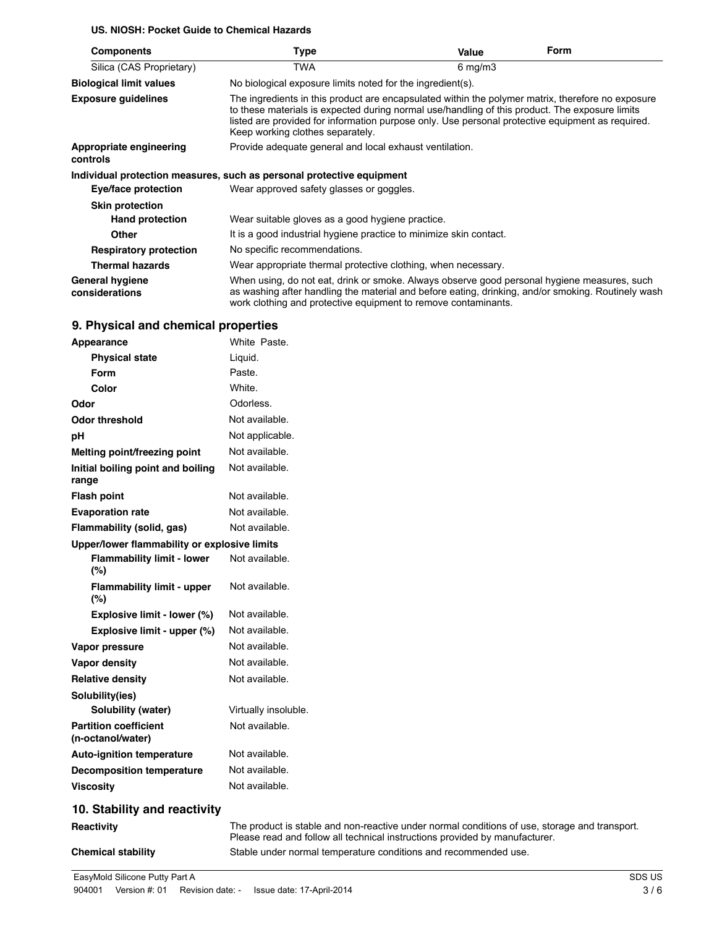#### **US. NIOSH: Pocket Guide to Chemical Hazards**

| <b>Components</b>                        | Type                                                                                                                                                                                                                                                                                                                                        | Value              | <b>Form</b> |
|------------------------------------------|---------------------------------------------------------------------------------------------------------------------------------------------------------------------------------------------------------------------------------------------------------------------------------------------------------------------------------------------|--------------------|-------------|
| Silica (CAS Proprietary)                 | TWA                                                                                                                                                                                                                                                                                                                                         | $6 \text{ mg/m}$ 3 |             |
| <b>Biological limit values</b>           | No biological exposure limits noted for the ingredient(s).                                                                                                                                                                                                                                                                                  |                    |             |
| <b>Exposure guidelines</b>               | The ingredients in this product are encapsulated within the polymer matrix, therefore no exposure<br>to these materials is expected during normal use/handling of this product. The exposure limits<br>listed are provided for information purpose only. Use personal protective equipment as required.<br>Keep working clothes separately. |                    |             |
| Appropriate engineering<br>controls      | Provide adequate general and local exhaust ventilation.                                                                                                                                                                                                                                                                                     |                    |             |
|                                          | Individual protection measures, such as personal protective equipment                                                                                                                                                                                                                                                                       |                    |             |
| Eye/face protection                      | Wear approved safety glasses or goggles.                                                                                                                                                                                                                                                                                                    |                    |             |
| <b>Skin protection</b>                   |                                                                                                                                                                                                                                                                                                                                             |                    |             |
| <b>Hand protection</b>                   | Wear suitable gloves as a good hygiene practice.                                                                                                                                                                                                                                                                                            |                    |             |
| Other                                    | It is a good industrial hygiene practice to minimize skin contact.                                                                                                                                                                                                                                                                          |                    |             |
| <b>Respiratory protection</b>            | No specific recommendations.                                                                                                                                                                                                                                                                                                                |                    |             |
| <b>Thermal hazards</b>                   | Wear appropriate thermal protective clothing, when necessary.                                                                                                                                                                                                                                                                               |                    |             |
| <b>General hygiene</b><br>considerations | When using, do not eat, drink or smoke. Always observe good personal hygiene measures, such<br>as washing after handling the material and before eating, drinking, and/or smoking. Routinely wash<br>work clothing and protective equipment to remove contaminants.                                                                         |                    |             |

| Appearance                                        | White Paste.                                                                                                                                                                 |
|---------------------------------------------------|------------------------------------------------------------------------------------------------------------------------------------------------------------------------------|
| <b>Physical state</b>                             | Liquid.                                                                                                                                                                      |
| <b>Form</b>                                       | Paste.                                                                                                                                                                       |
| Color                                             | White.                                                                                                                                                                       |
| Odor                                              | Odorless.                                                                                                                                                                    |
| <b>Odor threshold</b>                             | Not available.                                                                                                                                                               |
| pH                                                | Not applicable.                                                                                                                                                              |
| Melting point/freezing point                      | Not available.                                                                                                                                                               |
| Initial boiling point and boiling<br>range        | Not available.                                                                                                                                                               |
| <b>Flash point</b>                                | Not available.                                                                                                                                                               |
| <b>Evaporation rate</b>                           | Not available.                                                                                                                                                               |
| Flammability (solid, gas)                         | Not available.                                                                                                                                                               |
| Upper/lower flammability or explosive limits      |                                                                                                                                                                              |
| <b>Flammability limit - lower</b><br>(%)          | Not available.                                                                                                                                                               |
| <b>Flammability limit - upper</b><br>$(\%)$       | Not available.                                                                                                                                                               |
| Explosive limit - lower (%)                       | Not available.                                                                                                                                                               |
| Explosive limit - upper (%)                       | Not available.                                                                                                                                                               |
| Vapor pressure                                    | Not available.                                                                                                                                                               |
| Vapor density                                     | Not available.                                                                                                                                                               |
| <b>Relative density</b>                           | Not available.                                                                                                                                                               |
| Solubility(ies)                                   |                                                                                                                                                                              |
| Solubility (water)                                | Virtually insoluble.                                                                                                                                                         |
| <b>Partition coefficient</b><br>(n-octanol/water) | Not available.                                                                                                                                                               |
| <b>Auto-ignition temperature</b>                  | Not available.                                                                                                                                                               |
| <b>Decomposition temperature</b>                  | Not available.                                                                                                                                                               |
| <b>Viscosity</b>                                  | Not available.                                                                                                                                                               |
| 10. Stability and reactivity                      |                                                                                                                                                                              |
| Reactivity                                        | The product is stable and non-reactive under normal conditions of use, storage and transport.<br>Please read and follow all technical instructions provided by manufacturer. |
| <b>Chemical stability</b>                         | Stable under normal temperature conditions and recommended use.                                                                                                              |

## **9. Physical and chemical properties**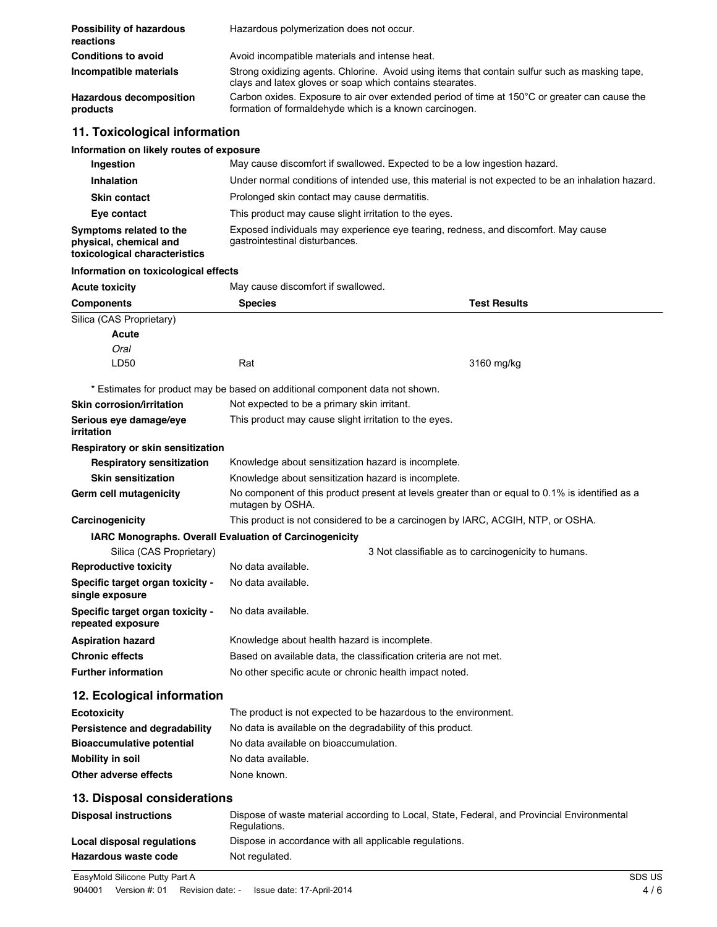| Possibility of hazardous<br>reactions      | Hazardous polymerization does not occur.                                                                                                                   |
|--------------------------------------------|------------------------------------------------------------------------------------------------------------------------------------------------------------|
| <b>Conditions to avoid</b>                 | Avoid incompatible materials and intense heat.                                                                                                             |
| Incompatible materials                     | Strong oxidizing agents. Chlorine. Avoid using items that contain sulfur such as masking tape.<br>clays and latex gloves or soap which contains stearates. |
| <b>Hazardous decomposition</b><br>products | Carbon oxides. Exposure to air over extended period of time at 150°C or greater can cause the<br>formation of formaldehyde which is a known carcinogen.    |

## **11. Toxicological information**

#### **Information on likely routes of exposure**

| Ingestion                                                                          | May cause discomfort if swallowed. Expected to be a low ingestion hazard.                                            |
|------------------------------------------------------------------------------------|----------------------------------------------------------------------------------------------------------------------|
| Inhalation                                                                         | Under normal conditions of intended use, this material is not expected to be an inhalation hazard.                   |
| <b>Skin contact</b>                                                                | Prolonged skin contact may cause dermatitis.                                                                         |
| Eye contact                                                                        | This product may cause slight irritation to the eyes.                                                                |
| Symptoms related to the<br>physical, chemical and<br>toxicological characteristics | Exposed individuals may experience eye tearing, redness, and discomfort. May cause<br>gastrointestinal disturbances. |

#### **Information on toxicological effects**

**Acute toxicity** May cause discomfort if swallowed.

| <b>Components</b>                                     | <b>Species</b>                                                                                                      | <b>Test Results</b> |  |
|-------------------------------------------------------|---------------------------------------------------------------------------------------------------------------------|---------------------|--|
| Silica (CAS Proprietary)                              |                                                                                                                     |                     |  |
| Acute                                                 |                                                                                                                     |                     |  |
| Oral                                                  |                                                                                                                     |                     |  |
| LD50                                                  | Rat                                                                                                                 | 3160 mg/kg          |  |
|                                                       | * Estimates for product may be based on additional component data not shown.                                        |                     |  |
| Skin corrosion/irritation                             | Not expected to be a primary skin irritant.                                                                         |                     |  |
| Serious eye damage/eye<br>irritation                  | This product may cause slight irritation to the eyes.                                                               |                     |  |
| Respiratory or skin sensitization                     |                                                                                                                     |                     |  |
| <b>Respiratory sensitization</b>                      | Knowledge about sensitization hazard is incomplete.                                                                 |                     |  |
| <b>Skin sensitization</b>                             | Knowledge about sensitization hazard is incomplete.                                                                 |                     |  |
| Germ cell mutagenicity                                | No component of this product present at levels greater than or equal to 0.1% is identified as a<br>mutagen by OSHA. |                     |  |
| Carcinogenicity                                       | This product is not considered to be a carcinogen by IARC, ACGIH, NTP, or OSHA.                                     |                     |  |
|                                                       | <b>IARC Monographs. Overall Evaluation of Carcinogenicity</b>                                                       |                     |  |
| Silica (CAS Proprietary)                              | 3 Not classifiable as to carcinogenicity to humans.                                                                 |                     |  |
| <b>Reproductive toxicity</b>                          | No data available.                                                                                                  |                     |  |
| Specific target organ toxicity -<br>single exposure   | No data available.                                                                                                  |                     |  |
| Specific target organ toxicity -<br>repeated exposure | No data available.                                                                                                  |                     |  |
| <b>Aspiration hazard</b>                              | Knowledge about health hazard is incomplete.                                                                        |                     |  |
| <b>Chronic effects</b>                                | Based on available data, the classification criteria are not met.                                                   |                     |  |
| <b>Further information</b>                            | No other specific acute or chronic health impact noted.                                                             |                     |  |
| 12. Ecological information                            |                                                                                                                     |                     |  |
| <b>Ecotoxicity</b>                                    | The product is not expected to be hazardous to the environment.                                                     |                     |  |
| Persistence and degradability                         | No data is available on the degradability of this product.                                                          |                     |  |
|                                                       |                                                                                                                     |                     |  |

| No data is available on the degradability of this product. |
|------------------------------------------------------------|
| No data available on bioaccumulation.                      |
| No data available.                                         |
| None known.                                                |
|                                                            |

## **13. Disposal considerations**

| <b>Disposal instructions</b> | Dispose of waste material according to Local, State, Federal, and Provincial Environmental<br>Regulations. |
|------------------------------|------------------------------------------------------------------------------------------------------------|
| Local disposal regulations   | Dispose in accordance with all applicable regulations.                                                     |
| Hazardous waste code         | Not regulated.                                                                                             |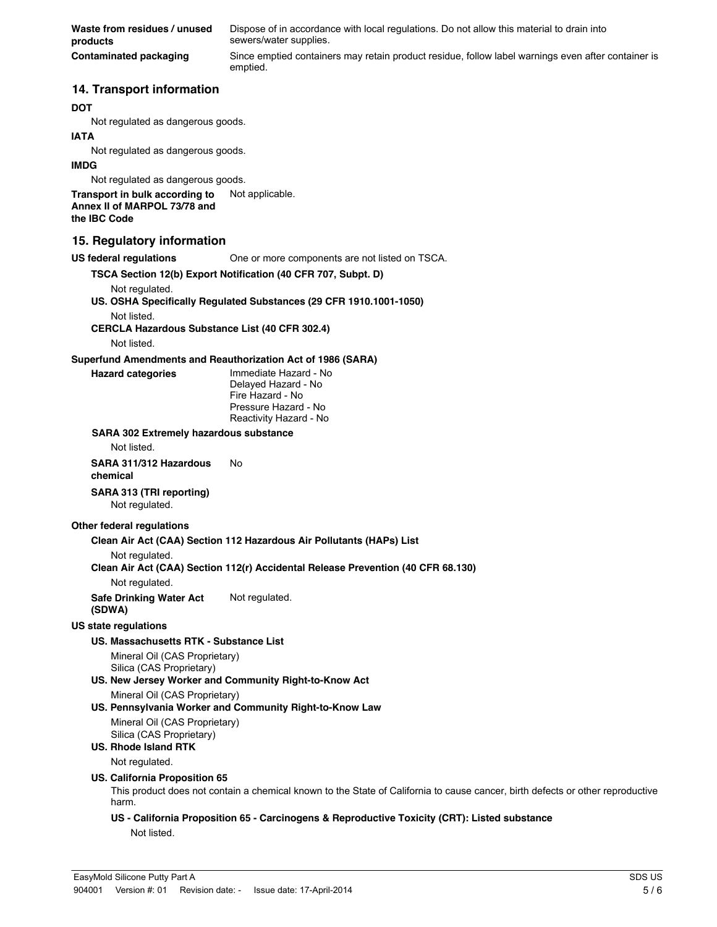**Waste from residues / unused products** Dispose of in accordance with local regulations. Do not allow this material to drain into sewers/water supplies. **Contaminated packaging** Since emptied containers may retain product residue, follow label warnings even after container is emptied.

#### **14. Transport information**

#### **DOT**

Not regulated as dangerous goods.

#### **IATA**

Not regulated as dangerous goods.

#### **IMDG**

Not regulated as dangerous goods.

**Transport in bulk according to** Not applicable. **Annex II of MARPOL 73/78 and the IBC Code**

#### **15. Regulatory information**

#### **US federal regulations** One or more components are not listed on TSCA.

#### **TSCA Section 12(b) Export Notification (40 CFR 707, Subpt. D)**

Not regulated.

#### **US. OSHA Specifically Regulated Substances (29 CFR 1910.1001-1050)** Not listed.

**CERCLA Hazardous Substance List (40 CFR 302.4)**

Not listed.

#### **Superfund Amendments and Reauthorization Act of 1986 (SARA)**

**Hazard categories** Immediate Hazard - No Delayed Hazard - No Fire Hazard - No Pressure Hazard - No Reactivity Hazard - No

#### **SARA 302 Extremely hazardous substance**

Not listed.

#### **SARA 311/312 Hazardous chemical** No

**SARA 313 (TRI reporting)**

Not regulated.

#### **Other federal regulations**

**Clean Air Act (CAA) Section 112 Hazardous Air Pollutants (HAPs) List**

#### Not regulated.

**Clean Air Act (CAA) Section 112(r) Accidental Release Prevention (40 CFR 68.130)**

Not regulated.

**Safe Drinking Water Act (SDWA)** Not regulated.

#### **US state regulations**

#### **US. Massachusetts RTK - Substance List**

Mineral Oil (CAS Proprietary) Silica (CAS Proprietary)

**US. New Jersey Worker and Community Right-to-Know Act**

Mineral Oil (CAS Proprietary)

#### **US. Pennsylvania Worker and Community Right-to-Know Law**

Mineral Oil (CAS Proprietary) Silica (CAS Proprietary)

## **US. Rhode Island RTK**

Not regulated.

#### **US. California Proposition 65**

This product does not contain a chemical known to the State of California to cause cancer, birth defects or other reproductive harm.

#### **US - California Proposition 65 - Carcinogens & Reproductive Toxicity (CRT): Listed substance** Not listed.